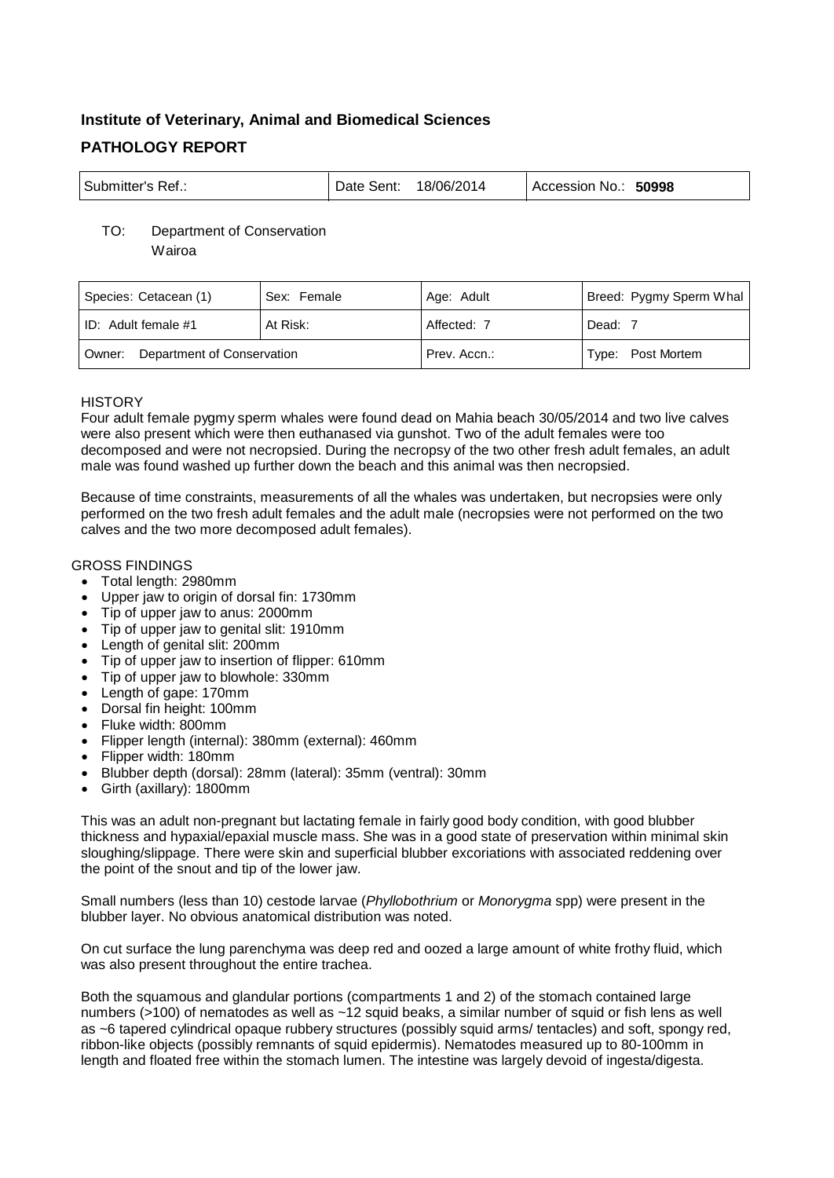# **Institute of Veterinary, Animal and Biomedical Sciences PATHOLOGY REPORT**

| ' Submitter's Ref.: | Date Sent: | 18/06/2014 | 50998<br>Accession No.: |
|---------------------|------------|------------|-------------------------|
|---------------------|------------|------------|-------------------------|

## TO: Department of Conservation

Wairoa

| Species: Cetacean (1)             | Sex: Female | Age: Adult   | Breed: Pygmy Sperm Whal |
|-----------------------------------|-------------|--------------|-------------------------|
| ID: Adult female $#1$             | At Risk:    | Affected: 7  | Dead: 7                 |
| Owner: Department of Conservation |             | Prev. Accn.: | Type: Post Mortem       |

## **HISTORY**

Four adult female pygmy sperm whales were found dead on Mahia beach 30/05/2014 and two live calves were also present which were then euthanased via gunshot. Two of the adult females were too decomposed and were not necropsied. During the necropsy of the two other fresh adult females, an adult male was found washed up further down the beach and this animal was then necropsied.

Because of time constraints, measurements of all the whales was undertaken, but necropsies were only performed on the two fresh adult females and the adult male (necropsies were not performed on the two calves and the two more decomposed adult females).

## GROSS FINDINGS

- Total length: 2980mm
- Upper jaw to origin of dorsal fin: 1730mm
- Tip of upper jaw to anus: 2000mm
- Tip of upper jaw to genital slit: 1910mm
- Length of genital slit: 200mm
- Tip of upper jaw to insertion of flipper: 610mm
- Tip of upper jaw to blowhole: 330mm
- Length of gape: 170mm
- Dorsal fin height: 100mm
- Fluke width: 800mm
- Flipper length (internal): 380mm (external): 460mm
- Flipper width: 180mm
- Blubber depth (dorsal): 28mm (lateral): 35mm (ventral): 30mm
- Girth (axillary): 1800mm

This was an adult non-pregnant but lactating female in fairly good body condition, with good blubber thickness and hypaxial/epaxial muscle mass. She was in a good state of preservation within minimal skin sloughing/slippage. There were skin and superficial blubber excoriations with associated reddening over the point of the snout and tip of the lower jaw.

Small numbers (less than 10) cestode larvae (*Phyllobothrium* or *Monorygma* spp) were present in the blubber layer. No obvious anatomical distribution was noted.

On cut surface the lung parenchyma was deep red and oozed a large amount of white frothy fluid, which was also present throughout the entire trachea.

Both the squamous and glandular portions (compartments 1 and 2) of the stomach contained large numbers (>100) of nematodes as well as ~12 squid beaks, a similar number of squid or fish lens as well as ~6 tapered cylindrical opaque rubbery structures (possibly squid arms/ tentacles) and soft, spongy red, ribbon-like objects (possibly remnants of squid epidermis). Nematodes measured up to 80-100mm in length and floated free within the stomach lumen. The intestine was largely devoid of ingesta/digesta.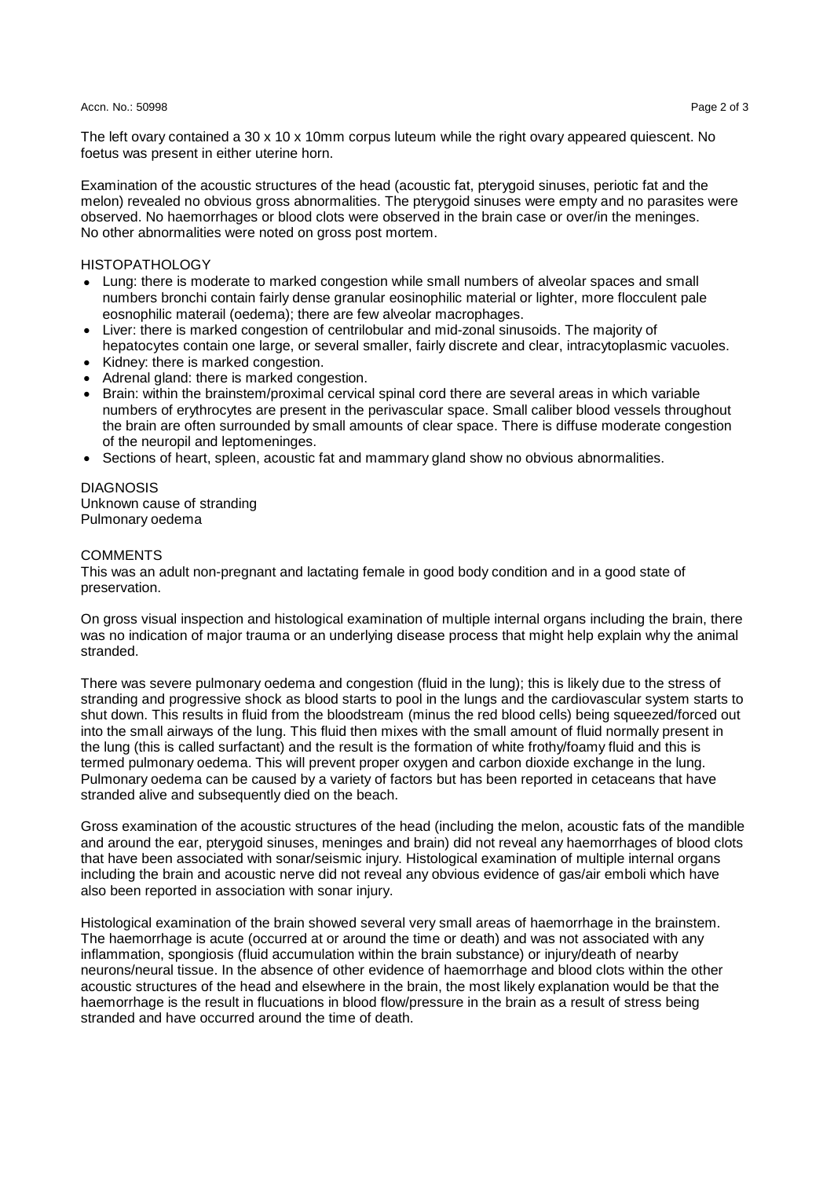#### Accn. No.: 50998 Page 2 of 3 Page 2 of 3 Page 2 of 3 Page 2 of 3 Page 2 of 3 Page 2 of 3 Page 2 of 3

The left ovary contained a 30 x 10 x 10mm corpus luteum while the right ovary appeared quiescent. No foetus was present in either uterine horn.

Examination of the acoustic structures of the head (acoustic fat, pterygoid sinuses, periotic fat and the melon) revealed no obvious gross abnormalities. The pterygoid sinuses were empty and no parasites were observed. No haemorrhages or blood clots were observed in the brain case or over/in the meninges. No other abnormalities were noted on gross post mortem.

HISTOPATHOLOGY

- Lung: there is moderate to marked congestion while small numbers of alveolar spaces and small numbers bronchi contain fairly dense granular eosinophilic material or lighter, more flocculent pale eosnophilic materail (oedema); there are few alveolar macrophages.
- Liver: there is marked congestion of centrilobular and mid-zonal sinusoids. The majority of hepatocytes contain one large, or several smaller, fairly discrete and clear, intracytoplasmic vacuoles.
- Kidney: there is marked congestion. • Adrenal gland: there is marked congestion.
- Brain: within the brainstem/proximal cervical spinal cord there are several areas in which variable numbers of erythrocytes are present in the perivascular space. Small caliber blood vessels throughout the brain are often surrounded by small amounts of clear space. There is diffuse moderate congestion of the neuropil and leptomeninges.
- Sections of heart, spleen, acoustic fat and mammary gland show no obvious abnormalities.

## **DIAGNOSIS** Unknown cause of stranding

Pulmonary oedema

### **COMMENTS**

This was an adult non-pregnant and lactating female in good body condition and in a good state of preservation.

On gross visual inspection and histological examination of multiple internal organs including the brain, there was no indication of major trauma or an underlying disease process that might help explain why the animal stranded.

There was severe pulmonary oedema and congestion (fluid in the lung); this is likely due to the stress of stranding and progressive shock as blood starts to pool in the lungs and the cardiovascular system starts to shut down. This results in fluid from the bloodstream (minus the red blood cells) being squeezed/forced out into the small airways of the lung. This fluid then mixes with the small amount of fluid normally present in the lung (this is called surfactant) and the result is the formation of white frothy/foamy fluid and this is termed pulmonary oedema. This will prevent proper oxygen and carbon dioxide exchange in the lung. Pulmonary oedema can be caused by a variety of factors but has been reported in cetaceans that have stranded alive and subsequently died on the beach.

Gross examination of the acoustic structures of the head (including the melon, acoustic fats of the mandible and around the ear, pterygoid sinuses, meninges and brain) did not reveal any haemorrhages of blood clots that have been associated with sonar/seismic injury. Histological examination of multiple internal organs including the brain and acoustic nerve did not reveal any obvious evidence of gas/air emboli which have also been reported in association with sonar injury.

Histological examination of the brain showed several very small areas of haemorrhage in the brainstem. The haemorrhage is acute (occurred at or around the time or death) and was not associated with any inflammation, spongiosis (fluid accumulation within the brain substance) or injury/death of nearby neurons/neural tissue. In the absence of other evidence of haemorrhage and blood clots within the other acoustic structures of the head and elsewhere in the brain, the most likely explanation would be that the haemorrhage is the result in flucuations in blood flow/pressure in the brain as a result of stress being stranded and have occurred around the time of death.